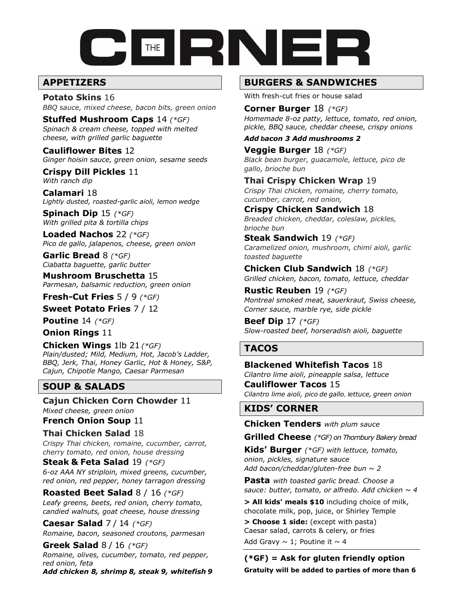

# **APPETIZERS**

**Potato Skins** 16 *BBQ sauce, mixed cheese, bacon bits, green onion*

**Stuffed Mushroom Caps** 14 *(\*GF) Spinach & cream cheese, topped with melted cheese, with grilled garlic baguette*

**Cauliflower Bites** 12 *Ginger hoisin sauce, green onion, sesame seeds*

**Crispy Dill Pickles** 11 *With ranch dip*

**Calamari** 18 *Lightly dusted, roasted-garlic aioli, lemon wedge*

**Spinach Dip** 15 *(\*GF) With grilled pita & tortilla chips*

**Loaded Nachos** 22 *(\*GF) Pico de gallo, jalapenos, cheese, green onion*

**Garlic Bread** 8 *(\*GF) Ciabatta baguette, garlic butter*

**Mushroom Bruschetta** 15 *Parmesan, balsamic reduction, green onion*

**Fresh-Cut Fries** 5 / 9 *(\*GF)*

**Sweet Potato Fries** 7 / 12

**Poutine** 14 *(\*GF)*

**Onion Rings** 11

**Chicken Wings** 1lb 21 *(\*GF) Plain/dusted; Mild, Medium, Hot, Jacob's Ladder, BBQ, Jerk, Thai, Honey Garlic, Hot & Honey, S&P, Cajun, Chipotle Mango, Caesar Parmesan*

# **SOUP & SALADS**

**Cajun Chicken Corn Chowder** 11 *Mixed cheese, green onion*

**French Onion Soup** 11

**Thai Chicken Salad** 18 *Crispy Thai chicken, romaine, cucumber, carrot, cherry tomato, red onion, house dressing* 

**Steak & Feta Salad** 19 *(\*GF) 6-oz AAA NY striploin, mixed greens, cucumber, red onion, red pepper, honey tarragon dressing*

**Roasted Beet Salad** 8 / 16 *(\*GF) Leafy greens, beets, red onion, cherry tomato, candied walnuts, goat cheese, house dressing*

**Caesar Salad** 7 / 14 *(\*GF) Romaine, bacon, seasoned croutons, parmesan*

**Greek Salad** 8 / 16 *(\*GF) Romaine, olives, cucumber, tomato, red pepper, red onion, feta Add chicken 8, shrimp 8, steak 9, whitefish 9*

## **BURGERS & SANDWICHES**

With fresh-cut fries or house salad

**Corner Burger** 18 *(\*GF) Homemade 8-oz patty, lettuce, tomato, red onion, pickle, BBQ sauce, cheddar cheese, crispy onions*

#### *Add bacon 3 Add mushrooms 2*

**Veggie Burger** 18 *(\*GF) Black bean burger, guacamole, lettuce, pico de gallo, brioche bun*

**Thai Crispy Chicken Wrap** 19 *Crispy Thai chicken, romaine, cherry tomato, cucumber, carrot, red onion,* 

**Crispy Chicken Sandwich** 18 *Breaded chicken, cheddar, coleslaw, pickles, brioche bun*

**Steak Sandwich** 19 *(\*GF) Caramelized onion, mushroom, chimi aioli, garlic toasted baguette*

**Chicken Club Sandwich** 18 *(\*GF) Grilled chicken, bacon, tomato, lettuce, cheddar*

**Rustic Reuben** 19 *(\*GF) Montreal smoked meat, sauerkraut, Swiss cheese, Corner sauce, marble rye, side pickle*

**Beef Dip** 17 *(\*GF) Slow-roasted beef, horseradish aioli, baguette*

# **TACOS**

**Blackened Whitefish Tacos** 18 *Cilantro lime aioli, pineapple salsa, lettuce*

**Cauliflower Tacos** 15 *Cilantro lime aioli, pico de gallo, lettuce, green onion*

## **KIDS' CORNER**

**Chicken Tenders** *with plum sauce*

**Grilled Cheese** *(\*GF) on Thornbury Bakery bread*

**Kids' Burger** *(\*GF) with lettuce, tomato, onion, pickles, signature sauce Add bacon/cheddar/gluten-free bun* ~ *2*

**Pasta** *with toasted garlic bread. Choose a sauce: butter, tomato, or alfredo. Add chicken ~ 4*

**> All kids' meals \$10** including choice of milk, chocolate milk, pop, juice, or Shirley Temple

**> Choose 1 side:** (except with pasta) Caesar salad, carrots & celery, or fries Add Gravy  $\sim$  1; Poutine it  $\sim$  4

**(\*GF) = Ask for gluten friendly option Gratuity will be added to parties of more than 6**